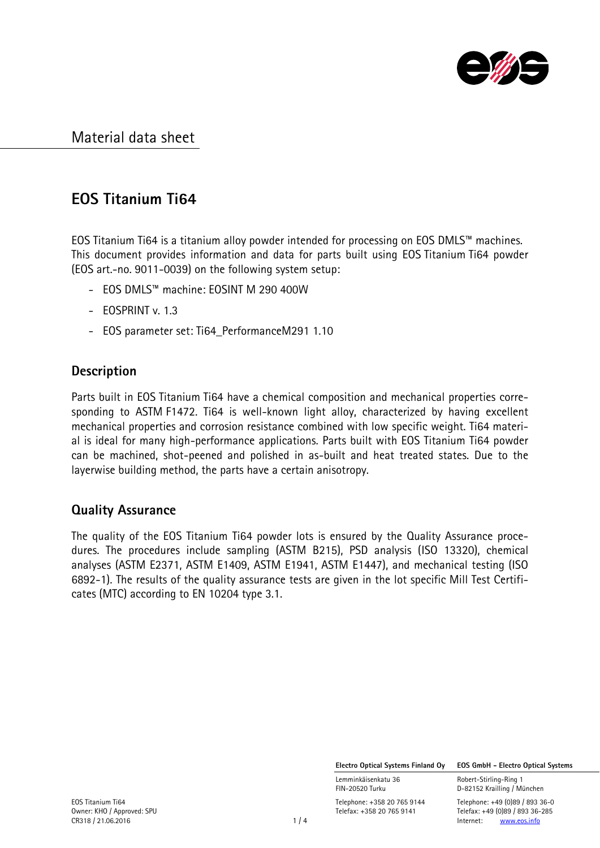

## EOS Titanium Ti64

EOS Titanium Ti64 is a titanium alloy powder intended for processing on EOS DMLS™ machines. This document provides information and data for parts built using EOS Titanium Ti64 powder (EOS art.-no. 9011-0039) on the following system setup:

- EOS DMLS™ machine: EOSINT M 290 400W
- EOSPRINT v. 1.3
- EOS parameter set: Ti64\_PerformanceM291 1.10

## **Description**

Parts built in EOS Titanium Ti64 have a chemical composition and mechanical properties corresponding to ASTM F1472. Ti64 is well-known light alloy, characterized by having excellent mechanical properties and corrosion resistance combined with low specific weight. Ti64 material is ideal for many high-performance applications. Parts built with EOS Titanium Ti64 powder can be machined, shot-peened and polished in as-built and heat treated states. Due to the layerwise building method, the parts have a certain anisotropy.

## Quality Assurance

The quality of the EOS Titanium Ti64 powder lots is ensured by the Quality Assurance procedures. The procedures include sampling (ASTM B215), PSD analysis (ISO 13320), chemical analyses (ASTM E2371, ASTM E1409, ASTM E1941, ASTM E1447), and mechanical testing (ISO 6892-1). The results of the quality assurance tests are given in the lot specific Mill Test Certificates (MTC) according to EN 10204 type 3.1.

Electro Optical Systems Finland Oy EOS GmbH - Electro Optical Systems

Lemminkäisenkatu 36 **Robert-Stirling-Ring 1**<br>FIN-20520 Turku **1988 ELE**D-82152 Krailling / Mi

D-82152 Krailling / München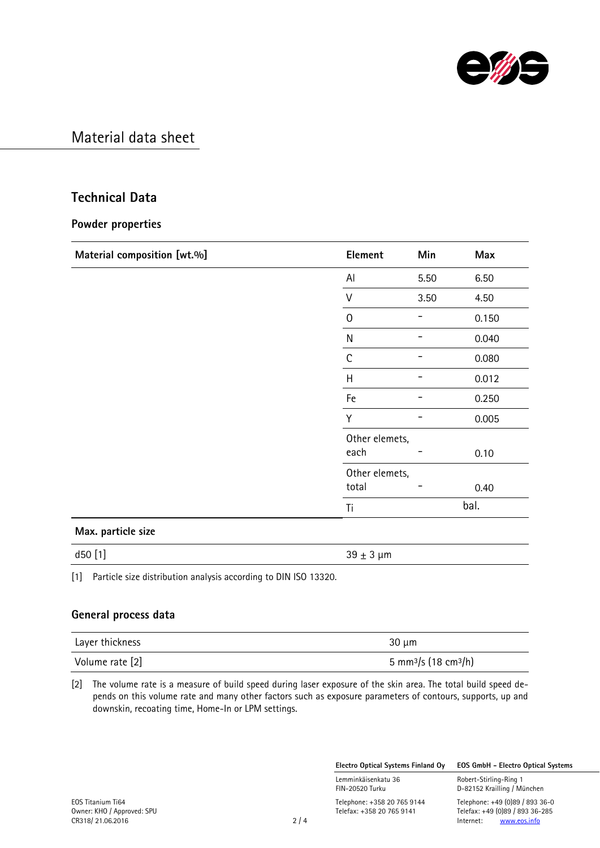

### Technical Data

#### Powder properties

| Material composition [wt.%] | Element        | Min  | Max   |
|-----------------------------|----------------|------|-------|
|                             | Al             | 5.50 | 6.50  |
|                             | V              | 3.50 | 4.50  |
|                             | $\mathbf 0$    |      | 0.150 |
|                             | ${\sf N}$      |      | 0.040 |
|                             | $\mathsf C$    |      | 0.080 |
|                             | H              |      | 0.012 |
|                             | Fe             |      | 0.250 |
|                             | Y              |      | 0.005 |
|                             | Other elemets, |      |       |
|                             | each           |      | 0.10  |
|                             | Other elemets, |      |       |
|                             | total          |      | 0.40  |
|                             | bal.<br>Ti     |      |       |
| Max. particle size          |                |      |       |
| d50 [1]                     | $39 \pm 3$ µm  |      |       |

[1] Particle size distribution analysis according to DIN ISO 13320.

#### General process data

| Layer thickness | $30 \mu m$                                   |
|-----------------|----------------------------------------------|
| Volume rate [2] | 5 mm <sup>3</sup> /s (18 cm <sup>3</sup> /h) |

[2] The volume rate is a measure of build speed during laser exposure of the skin area. The total build speed depends on this volume rate and many other factors such as exposure parameters of contours, supports, up and downskin, recoating time, Home-In or LPM settings.

Electro Optical Systems Finland Oy EOS GmbH - Electro Optical Systems

Lemminkäisenkatu 36 Robert-Stirling-Ring 1<br>FIN-20520 Turku 1988 Robert-Stirling / Mi

EOS Titanium Ti64 Telephone: +358 20 765 9144 Telephone: +49 (0)89 / 893 36-0 Telefax: +358 20 765 9141 Telefax: +49 (0)89 / 893 36-285<br>2 / 4 Internet: www.eos.info

D-82152 Krailling / München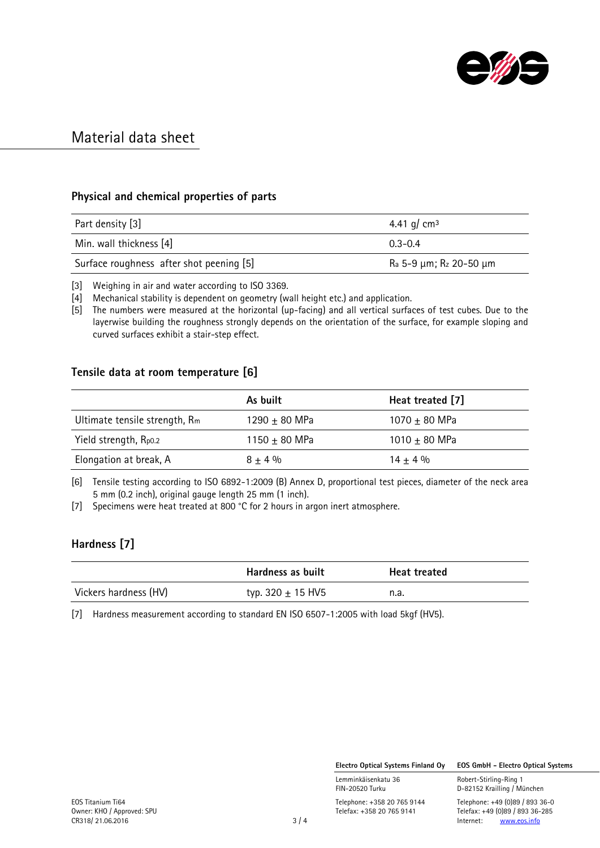

#### Physical and chemical properties of parts

| Part density [3]                         | 4.41 g/ cm <sup>3</sup>                        |
|------------------------------------------|------------------------------------------------|
| Min. wall thickness [4]                  | $0.3 - 0.4$                                    |
| Surface roughness after shot peening [5] | R <sub>a</sub> 5-9 μm; R <sub>z</sub> 20-50 μm |

[3] Weighing in air and water according to ISO 3369.

[4] Mechanical stability is dependent on geometry (wall height etc.) and application.

[5] The numbers were measured at the horizontal (up-facing) and all vertical surfaces of test cubes. Due to the layerwise building the roughness strongly depends on the orientation of the surface, for example sloping and curved surfaces exhibit a stair-step effect.

#### Tensile data at room temperature [6]

|                               | As built          | Heat treated [7]  |
|-------------------------------|-------------------|-------------------|
| Ultimate tensile strength, Rm | 1290 $\pm$ 80 MPa | 1070 $\pm$ 80 MPa |
| Yield strength, Rpo.2         | 1150 $\pm$ 80 MPa | 1010 $\pm$ 80 MPa |
| Elongation at break, A        | $8 + 4\%$         | $14 + 4%$         |

[6] Tensile testing according to ISO 6892-1:2009 (B) Annex D, proportional test pieces, diameter of the neck area 5 mm (0.2 inch), original gauge length 25 mm (1 inch).

[7] Specimens were heat treated at 800 °C for 2 hours in argon inert atmosphere.

#### Hardness [7]

|                       | Hardness as built     | <b>Heat treated</b> |
|-----------------------|-----------------------|---------------------|
| Vickers hardness (HV) | typ. 320 $\pm$ 15 HV5 | n.a.                |

[7] Hardness measurement according to standard EN ISO 6507-1:2005 with load 5kgf (HV5).

Electro Optical Systems Finland Oy EOS GmbH - Electro Optical Systems

Lemminkäisenkatu 36 **Robert-Stirling-Ring 1**<br>FIN-20520 Turku **1988 ELE**D-82152 Krailling / Mi

D-82152 Krailling / München

EOS Titanium Ti64 Telephone: +358 20 765 9144 Telephone: +49 (0)89 / 893 36-0 Telefax: +358 20 765 9141 Telefax: +49 (0)89 / 893 36-285<br>3 / 4 Internet: www.eos.info